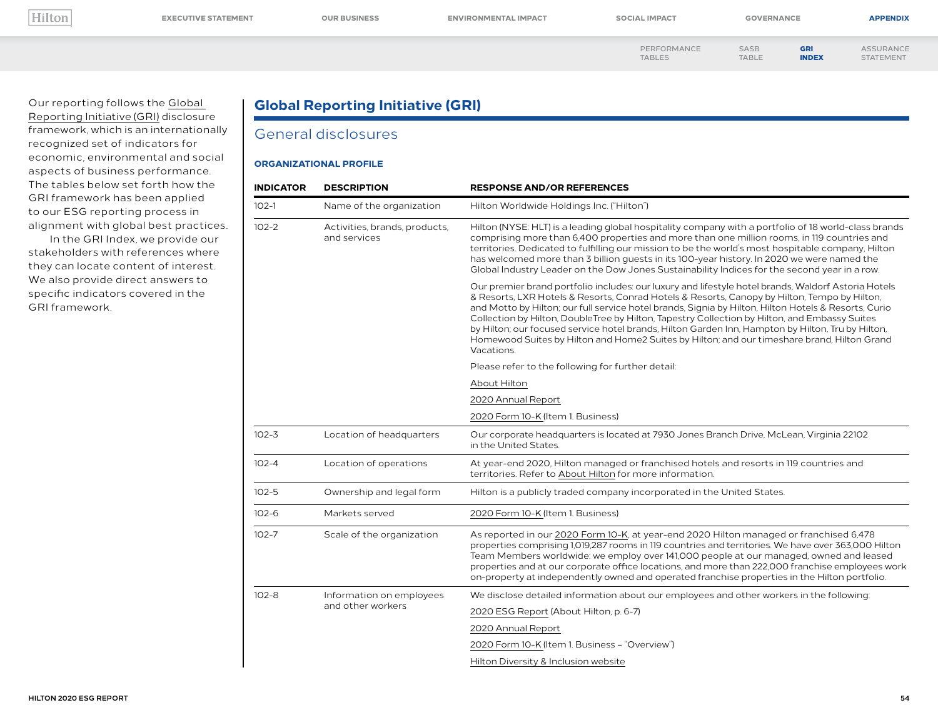<span id="page-0-0"></span>

| ۰.<br>. . |  |
|-----------|--|

TABLES

[ASSURANCE](#page--1-0) STATEMENT

[PERFORMANCE](#page--1-0) 

SASB [TABLE](#page--1-0) GRI INDEX

Our reporting follows the [Global](https://www.globalreporting.org/)  [Reporting Initiative \(GRI\)](https://www.globalreporting.org/) disclosure framework, which is an internationally recognized set of indicators for economic, environmental and social aspects of business performance. The tables below set forth how the GRI framework has been applied to our ESG reporting process in alignment with global best practices. In the GRI Index, we provide our

stakeholders with references where they can locate content of interest. We also provide direct answers to specific indicators covered in the GRI framework.

### **Global Reporting Initiative (GRI)**

### General disclosures

#### **ORGANIZATIONAL PROFILE**

| <b>INDICATOR</b><br><b>DESCRIPTION</b> |                                               | <b>RESPONSE AND/OR REFERENCES</b>                                                                                                                                                                                                                                                                                                                                                                                                                                                                                                                                                                                              |  |
|----------------------------------------|-----------------------------------------------|--------------------------------------------------------------------------------------------------------------------------------------------------------------------------------------------------------------------------------------------------------------------------------------------------------------------------------------------------------------------------------------------------------------------------------------------------------------------------------------------------------------------------------------------------------------------------------------------------------------------------------|--|
| $102 - 1$                              | Name of the organization                      | Hilton Worldwide Holdings Inc. ("Hilton")                                                                                                                                                                                                                                                                                                                                                                                                                                                                                                                                                                                      |  |
| $102 - 2$                              | Activities, brands, products,<br>and services | Hilton (NYSE: HLT) is a leading global hospitality company with a portfolio of 18 world-class brands<br>comprising more than 6,400 properties and more than one million rooms, in 119 countries and<br>territories. Dedicated to fulfilling our mission to be the world's most hospitable company, Hilton<br>has welcomed more than 3 billion quests in its 100-year history. In 2020 we were named the<br>Global Industry Leader on the Dow Jones Sustainability Indices for the second year in a row.                                                                                                                        |  |
|                                        |                                               | Our premier brand portfolio includes: our luxury and lifestyle hotel brands, Waldorf Astoria Hotels<br>& Resorts, LXR Hotels & Resorts, Conrad Hotels & Resorts, Canopy by Hilton, Tempo by Hilton,<br>and Motto by Hilton; our full service hotel brands, Signia by Hilton, Hilton Hotels & Resorts, Curio<br>Collection by Hilton, DoubleTree by Hilton, Tapestry Collection by Hilton, and Embassy Suites<br>by Hilton; our focused service hotel brands, Hilton Garden Inn, Hampton by Hilton, Tru by Hilton,<br>Homewood Suites by Hilton and Home2 Suites by Hilton; and our timeshare brand, Hilton Grand<br>Vacations. |  |
|                                        |                                               | Please refer to the following for further detail:                                                                                                                                                                                                                                                                                                                                                                                                                                                                                                                                                                              |  |
|                                        |                                               | About Hilton                                                                                                                                                                                                                                                                                                                                                                                                                                                                                                                                                                                                                   |  |
|                                        |                                               | 2020 Annual Report                                                                                                                                                                                                                                                                                                                                                                                                                                                                                                                                                                                                             |  |
|                                        |                                               | 2020 Form 10-K (Item 1. Business)                                                                                                                                                                                                                                                                                                                                                                                                                                                                                                                                                                                              |  |
| $102 - 3$                              | Location of headquarters                      | Our corporate headquarters is located at 7930 Jones Branch Drive, McLean, Virginia 22102<br>in the United States.                                                                                                                                                                                                                                                                                                                                                                                                                                                                                                              |  |
| $102 - 4$                              | Location of operations                        | At year-end 2020, Hilton managed or franchised hotels and resorts in 119 countries and<br>territories. Refer to About Hilton for more information.                                                                                                                                                                                                                                                                                                                                                                                                                                                                             |  |
| $102 - 5$                              | Ownership and legal form                      | Hilton is a publicly traded company incorporated in the United States.                                                                                                                                                                                                                                                                                                                                                                                                                                                                                                                                                         |  |
| $102 - 6$                              | Markets served                                | 2020 Form 10-K (Item 1. Business)                                                                                                                                                                                                                                                                                                                                                                                                                                                                                                                                                                                              |  |
| $102 - 7$<br>Scale of the organization |                                               | As reported in our 2020 Form 10-K, at year-end 2020 Hilton managed or franchised 6,478<br>properties comprising 1,019,287 rooms in 119 countries and territories. We have over 363,000 Hilton<br>Team Members worldwide: we employ over 141,000 people at our managed, owned and leased<br>properties and at our corporate office locations, and more than 222,000 franchise employees work<br>on-property at independently owned and operated franchise properties in the Hilton portfolio.                                                                                                                                   |  |
| $102 - 8$                              | Information on employees                      | We disclose detailed information about our employees and other workers in the following:                                                                                                                                                                                                                                                                                                                                                                                                                                                                                                                                       |  |
|                                        | and other workers                             | 2020 ESG Report (About Hilton, p. 6-7)                                                                                                                                                                                                                                                                                                                                                                                                                                                                                                                                                                                         |  |
|                                        |                                               | 2020 Annual Report                                                                                                                                                                                                                                                                                                                                                                                                                                                                                                                                                                                                             |  |
|                                        |                                               | 2020 Form 10-K (Item 1. Business - "Overview")                                                                                                                                                                                                                                                                                                                                                                                                                                                                                                                                                                                 |  |
|                                        |                                               | Hilton Diversity & Inclusion website                                                                                                                                                                                                                                                                                                                                                                                                                                                                                                                                                                                           |  |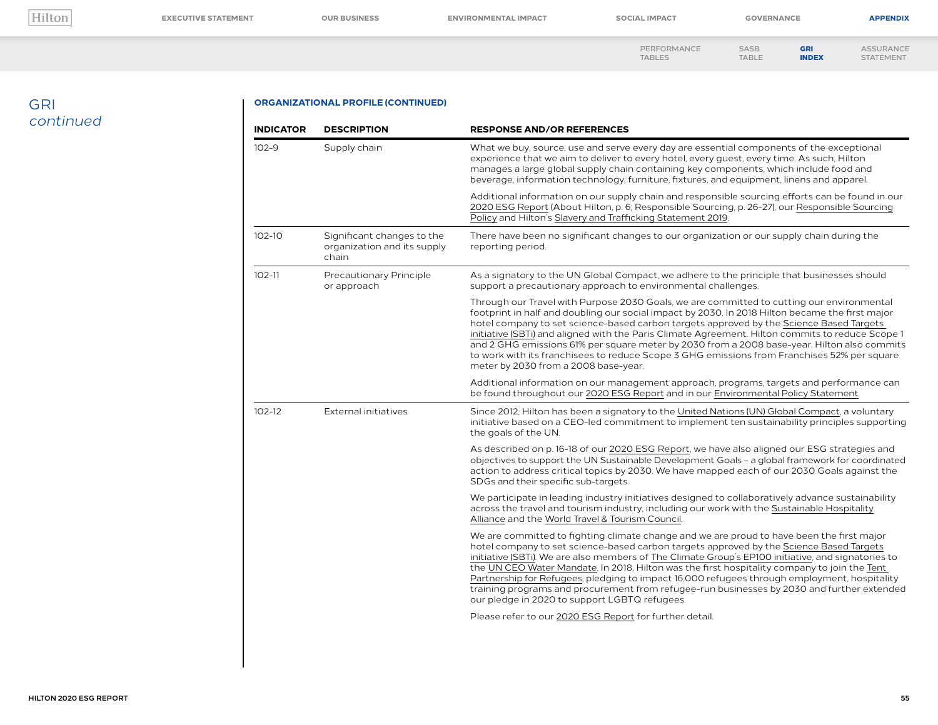**[EXECUTIVE STATEMENT](#page--1-0) [OUR BUSINESS](#page--1-0) [ENVIRONMENTAL IMPACT](#page--1-0) [SOCIAL IMPACT](#page--1-0) [GOVERNANCE](#page--1-0) [APPENDIX](#page--1-0)**

[ASSURANCE](#page--1-0) STATEMENT

[PERFORMANCE](#page--1-0)  TABLES

GRI [INDEX](#page-0-0)

SASB [TABLE](#page--1-0)

## GRI *continued*

#### **ORGANIZATIONAL PROFILE (CONTINUED)**

| <b>INDICATOR</b> | <b>DESCRIPTION</b>                                                 | <b>RESPONSE AND/OR REFERENCES</b>                                                                                                                                                                                                                                                                                                                                                                                                                                                                                                                                                                                                         |  |
|------------------|--------------------------------------------------------------------|-------------------------------------------------------------------------------------------------------------------------------------------------------------------------------------------------------------------------------------------------------------------------------------------------------------------------------------------------------------------------------------------------------------------------------------------------------------------------------------------------------------------------------------------------------------------------------------------------------------------------------------------|--|
| $102 - 9$        | Supply chain                                                       | What we buy, source, use and serve every day are essential components of the exceptional<br>experience that we aim to deliver to every hotel, every quest, every time. As such, Hilton<br>manages a large global supply chain containing key components, which include food and<br>beverage, information technology, furniture, fixtures, and equipment, linens and apparel.                                                                                                                                                                                                                                                              |  |
|                  |                                                                    | Additional information on our supply chain and responsible sourcing efforts can be found in our<br>2020 ESG Report (About Hilton, p. 6; Responsible Sourcing, p. 26-27), our Responsible Sourcing<br>Policy and Hilton's Slavery and Trafficking Statement 2019.                                                                                                                                                                                                                                                                                                                                                                          |  |
| $102 - 10$       | Significant changes to the<br>organization and its supply<br>chain | There have been no significant changes to our organization or our supply chain during the<br>reporting period.                                                                                                                                                                                                                                                                                                                                                                                                                                                                                                                            |  |
| $102 - 11$       | Precautionary Principle<br>or approach                             | As a signatory to the UN Global Compact, we adhere to the principle that businesses should<br>support a precautionary approach to environmental challenges.                                                                                                                                                                                                                                                                                                                                                                                                                                                                               |  |
|                  |                                                                    | Through our Travel with Purpose 2030 Goals, we are committed to cutting our environmental<br>footprint in half and doubling our social impact by 2030. In 2018 Hilton became the first major<br>hotel company to set science-based carbon targets approved by the Science Based Targets<br>initiative (SBTi) and aligned with the Paris Climate Agreement. Hilton commits to reduce Scope 1<br>and 2 GHG emissions 61% per square meter by 2030 from a 2008 base-year. Hilton also commits<br>to work with its franchisees to reduce Scope 3 GHG emissions from Franchises 52% per square<br>meter by 2030 from a 2008 base-year.         |  |
|                  |                                                                    | Additional information on our management approach, programs, targets and performance can<br>be found throughout our 2020 ESG Report and in our Environmental Policy Statement.                                                                                                                                                                                                                                                                                                                                                                                                                                                            |  |
| $102 - 12$       | External initiatives                                               | Since 2012, Hilton has been a signatory to the United Nations (UN) Global Compact, a voluntary<br>initiative based on a CEO-led commitment to implement ten sustainability principles supporting<br>the goals of the UN.                                                                                                                                                                                                                                                                                                                                                                                                                  |  |
|                  |                                                                    | As described on p. 16-18 of our 2020 ESG Report, we have also aligned our ESG strategies and<br>objectives to support the UN Sustainable Development Goals - a global framework for coordinated<br>action to address critical topics by 2030. We have mapped each of our 2030 Goals against the<br>SDGs and their specific sub-targets.                                                                                                                                                                                                                                                                                                   |  |
|                  |                                                                    | We participate in leading industry initiatives designed to collaboratively advance sustainability<br>across the travel and tourism industry, including our work with the Sustainable Hospitality<br>Alliance and the World Travel & Tourism Council.                                                                                                                                                                                                                                                                                                                                                                                      |  |
|                  |                                                                    | We are committed to fighting climate change and we are proud to have been the first major<br>hotel company to set science-based carbon targets approved by the Science Based Targets<br>initiative (SBTi). We are also members of The Climate Group's EP100 initiative, and signatories to<br>the UN CEO Water Mandate. In 2018, Hilton was the first hospitality company to join the Tent<br>Partnership for Refugees, pledging to impact 16,000 refugees through employment, hospitality<br>training programs and procurement from refugee-run businesses by 2030 and further extended<br>our pledge in 2020 to support LGBTQ refugees. |  |
|                  |                                                                    | Please refer to our 2020 ESG Report for further detail.                                                                                                                                                                                                                                                                                                                                                                                                                                                                                                                                                                                   |  |
|                  |                                                                    |                                                                                                                                                                                                                                                                                                                                                                                                                                                                                                                                                                                                                                           |  |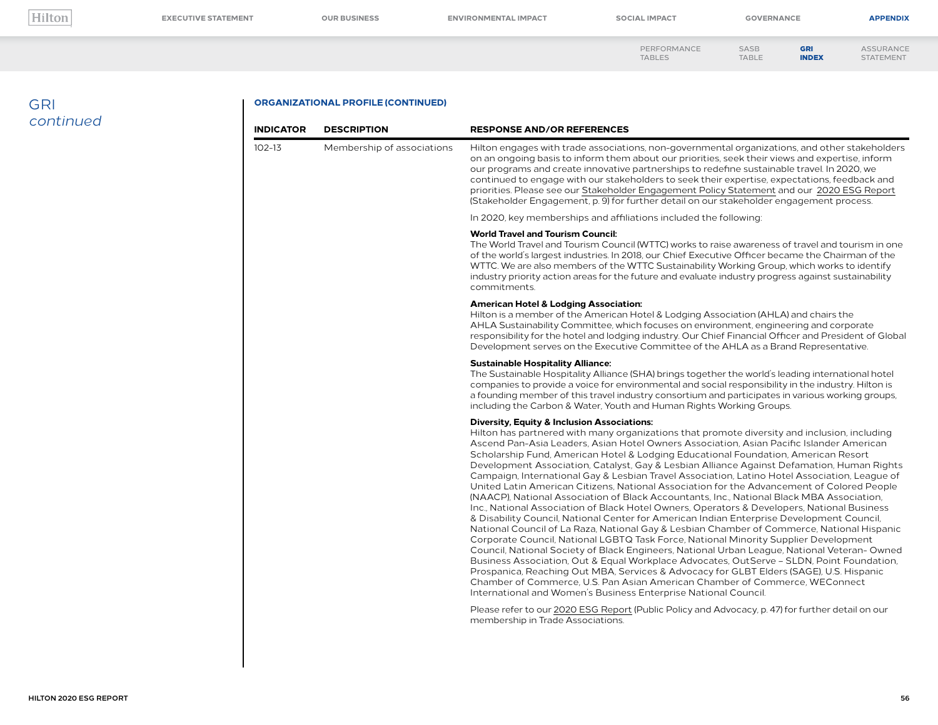**[EXECUTIVE STATEMENT](#page--1-0) [OUR BUSINESS](#page--1-0) [ENVIRONMENTAL IMPACT](#page--1-0) [SOCIAL IMPACT](#page--1-0) [GOVERNANCE](#page--1-0) [APPENDIX](#page--1-0)**

GRI

[PERFORMANCE](#page--1-0)  TABLES SASB [TABLE](#page--1-0)

[ASSURANCE](#page--1-0) STATEMENT [INDEX](#page-0-0)

## GRI *continued*

#### **ORGANIZATIONAL PROFILE (CONTINUED)**

| <b>INDICATOR</b> | <b>DESCRIPTION</b>         | <b>RESPONSE AND/OR REFERENCES</b>                                                                                                                                                                                                                                                                                                                                                                                                                                                                                                                                                                                                                                                                                                                                                                                                                                                                                                                                                                                                                                                                                                                                                                                                                                                                                                                                                                                                                                                                                                                             |  |  |
|------------------|----------------------------|---------------------------------------------------------------------------------------------------------------------------------------------------------------------------------------------------------------------------------------------------------------------------------------------------------------------------------------------------------------------------------------------------------------------------------------------------------------------------------------------------------------------------------------------------------------------------------------------------------------------------------------------------------------------------------------------------------------------------------------------------------------------------------------------------------------------------------------------------------------------------------------------------------------------------------------------------------------------------------------------------------------------------------------------------------------------------------------------------------------------------------------------------------------------------------------------------------------------------------------------------------------------------------------------------------------------------------------------------------------------------------------------------------------------------------------------------------------------------------------------------------------------------------------------------------------|--|--|
| $102 - 13$       | Membership of associations | Hilton engages with trade associations, non-governmental organizations, and other stakeholders<br>on an ongoing basis to inform them about our priorities, seek their views and expertise, inform<br>our programs and create innovative partnerships to redefine sustainable travel. In 2020, we<br>continued to engage with our stakeholders to seek their expertise, expectations, feedback and<br>priorities. Please see our Stakeholder Engagement Policy Statement and our 2020 ESG Report<br>(Stakeholder Engagement, p. 9) for further detail on our stakeholder engagement process.                                                                                                                                                                                                                                                                                                                                                                                                                                                                                                                                                                                                                                                                                                                                                                                                                                                                                                                                                                   |  |  |
|                  |                            | In 2020, key memberships and affiliations included the following:                                                                                                                                                                                                                                                                                                                                                                                                                                                                                                                                                                                                                                                                                                                                                                                                                                                                                                                                                                                                                                                                                                                                                                                                                                                                                                                                                                                                                                                                                             |  |  |
|                  |                            | <b>World Travel and Tourism Council:</b><br>The World Travel and Tourism Council (WTTC) works to raise awareness of travel and tourism in one<br>of the world's largest industries. In 2018, our Chief Executive Officer became the Chairman of the<br>WTTC. We are also members of the WTTC Sustainability Working Group, which works to identify<br>industry priority action areas for the future and evaluate industry progress against sustainability<br>commitments.                                                                                                                                                                                                                                                                                                                                                                                                                                                                                                                                                                                                                                                                                                                                                                                                                                                                                                                                                                                                                                                                                     |  |  |
|                  |                            | <b>American Hotel &amp; Lodging Association:</b><br>Hilton is a member of the American Hotel & Lodging Association (AHLA) and chairs the<br>AHLA Sustainability Committee, which focuses on environment, engineering and corporate<br>responsibility for the hotel and lodging industry. Our Chief Financial Officer and President of Global<br>Development serves on the Executive Committee of the AHLA as a Brand Representative.                                                                                                                                                                                                                                                                                                                                                                                                                                                                                                                                                                                                                                                                                                                                                                                                                                                                                                                                                                                                                                                                                                                          |  |  |
|                  |                            | <b>Sustainable Hospitality Alliance:</b><br>The Sustainable Hospitality Alliance (SHA) brings together the world's leading international hotel<br>companies to provide a voice for environmental and social responsibility in the industry. Hilton is<br>a founding member of this travel industry consortium and participates in various working groups,<br>including the Carbon & Water, Youth and Human Rights Working Groups.                                                                                                                                                                                                                                                                                                                                                                                                                                                                                                                                                                                                                                                                                                                                                                                                                                                                                                                                                                                                                                                                                                                             |  |  |
|                  |                            | <b>Diversity, Equity &amp; Inclusion Associations:</b><br>Hilton has partnered with many organizations that promote diversity and inclusion, including<br>Ascend Pan-Asia Leaders, Asian Hotel Owners Association, Asian Pacific Islander American<br>Scholarship Fund, American Hotel & Lodging Educational Foundation, American Resort<br>Development Association, Catalyst, Gay & Lesbian Alliance Against Defamation, Human Rights<br>Campaign, International Gay & Lesbian Travel Association, Latino Hotel Association, League of<br>United Latin American Citizens, National Association for the Advancement of Colored People<br>(NAACP), National Association of Black Accountants, Inc., National Black MBA Association,<br>Inc., National Association of Black Hotel Owners, Operators & Developers, National Business<br>& Disability Council, National Center for American Indian Enterprise Development Council,<br>National Council of La Raza, National Gay & Lesbian Chamber of Commerce, National Hispanic<br>Corporate Council, National LGBTQ Task Force, National Minority Supplier Development<br>Council, National Society of Black Engineers, National Urban League, National Veteran-Owned<br>Business Association, Out & Equal Workplace Advocates, OutServe - SLDN, Point Foundation,<br>Prospanica, Reaching Out MBA, Services & Advocacy for GLBT Elders (SAGE), U.S. Hispanic<br>Chamber of Commerce, U.S. Pan Asian American Chamber of Commerce, WEConnect<br>International and Women's Business Enterprise National Council. |  |  |
|                  |                            | Please refer to our 2020 ESG Report (Public Policy and Advocacy, p. 47) for further detail on our<br>membership in Trade Associations.                                                                                                                                                                                                                                                                                                                                                                                                                                                                                                                                                                                                                                                                                                                                                                                                                                                                                                                                                                                                                                                                                                                                                                                                                                                                                                                                                                                                                        |  |  |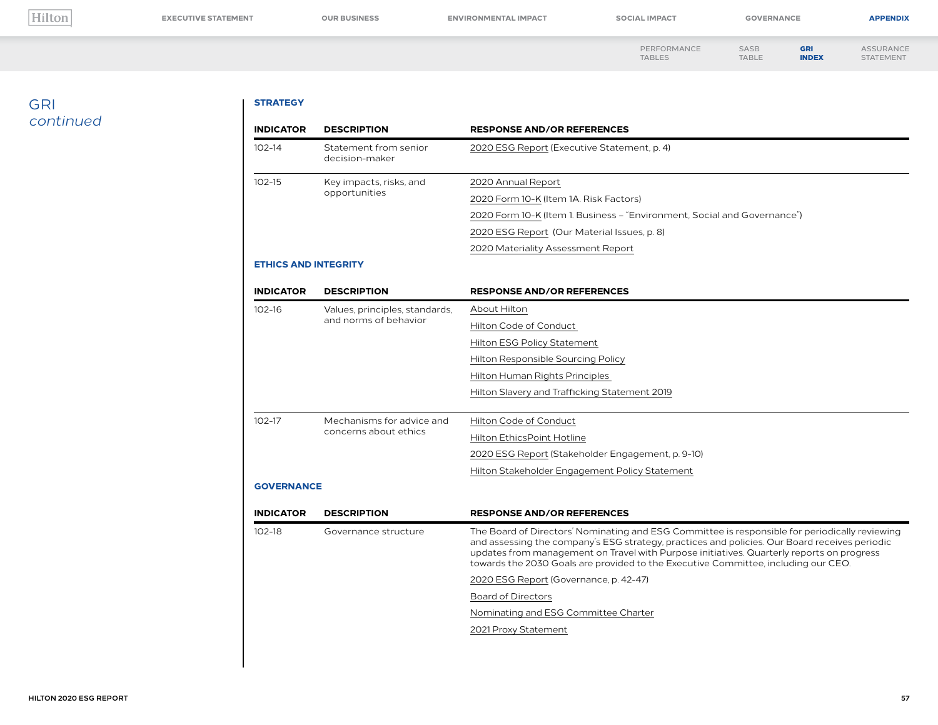**[EXECUTIVE STATEMENT](#page--1-0) [OUR BUSINESS](#page--1-0) [ENVIRONMENTAL IMPACT](#page--1-0) [SOCIAL IMPACT](#page--1-0) [GOVERNANCE](#page--1-0) [APPENDIX](#page--1-0)**

GRI [INDEX](#page-0-0)

[PERFORMANCE](#page--1-0)  TABLES SASB [TABLE](#page--1-0) [ASSURANCE](#page--1-0) STATEMENT

## GRI *continued*

#### **STRATEGY**

| <b>INDICATOR</b><br><b>DESCRIPTION</b><br><b>RESPONSE AND/OR REFERENCES</b> |                                         |                                                                                                                                                                                                                                                                                                                                                                                    |  |
|-----------------------------------------------------------------------------|-----------------------------------------|------------------------------------------------------------------------------------------------------------------------------------------------------------------------------------------------------------------------------------------------------------------------------------------------------------------------------------------------------------------------------------|--|
| $102 - 14$                                                                  | Statement from senior<br>decision-maker | 2020 ESG Report (Executive Statement, p. 4)                                                                                                                                                                                                                                                                                                                                        |  |
| $102 - 15$                                                                  | Key impacts, risks, and                 | 2020 Annual Report                                                                                                                                                                                                                                                                                                                                                                 |  |
|                                                                             | opportunities                           | 2020 Form 10-K (Item 1A. Risk Factors)                                                                                                                                                                                                                                                                                                                                             |  |
|                                                                             |                                         | 2020 Form 10-K (Item 1. Business – "Environment, Social and Governance")                                                                                                                                                                                                                                                                                                           |  |
|                                                                             |                                         | 2020 ESG Report (Our Material Issues, p. 8)                                                                                                                                                                                                                                                                                                                                        |  |
|                                                                             |                                         | 2020 Materiality Assessment Report                                                                                                                                                                                                                                                                                                                                                 |  |
| <b>ETHICS AND INTEGRITY</b>                                                 |                                         |                                                                                                                                                                                                                                                                                                                                                                                    |  |
| <b>INDICATOR</b>                                                            | <b>DESCRIPTION</b>                      | <b>RESPONSE AND/OR REFERENCES</b>                                                                                                                                                                                                                                                                                                                                                  |  |
| $102 - 16$                                                                  | Values, principles, standards,          | About Hilton                                                                                                                                                                                                                                                                                                                                                                       |  |
|                                                                             | and norms of behavior                   | Hilton Code of Conduct                                                                                                                                                                                                                                                                                                                                                             |  |
|                                                                             |                                         | Hilton ESG Policy Statement                                                                                                                                                                                                                                                                                                                                                        |  |
|                                                                             |                                         | Hilton Responsible Sourcing Policy                                                                                                                                                                                                                                                                                                                                                 |  |
|                                                                             |                                         | Hilton Human Rights Principles                                                                                                                                                                                                                                                                                                                                                     |  |
|                                                                             |                                         | Hilton Slavery and Trafficking Statement 2019                                                                                                                                                                                                                                                                                                                                      |  |
| $102 - 17$                                                                  | Mechanisms for advice and               | Hilton Code of Conduct                                                                                                                                                                                                                                                                                                                                                             |  |
|                                                                             | concerns about ethics                   | Hilton EthicsPoint Hotline                                                                                                                                                                                                                                                                                                                                                         |  |
|                                                                             |                                         | 2020 ESG Report (Stakeholder Engagement, p. 9-10)                                                                                                                                                                                                                                                                                                                                  |  |
|                                                                             |                                         | Hilton Stakeholder Engagement Policy Statement                                                                                                                                                                                                                                                                                                                                     |  |
| <b>GOVERNANCE</b>                                                           |                                         |                                                                                                                                                                                                                                                                                                                                                                                    |  |
| <b>INDICATOR</b>                                                            | <b>DESCRIPTION</b>                      | <b>RESPONSE AND/OR REFERENCES</b>                                                                                                                                                                                                                                                                                                                                                  |  |
| $102-18$                                                                    | Governance structure                    | The Board of Directors' Nominating and ESG Committee is responsible for periodically reviewing<br>and assessing the company's ESG strategy, practices and policies. Our Board receives periodic<br>updates from management on Travel with Purpose initiatives. Quarterly reports on progress<br>towards the 2030 Goals are provided to the Executive Committee, including our CEO. |  |
|                                                                             |                                         | 2020 ESG Report (Governance, p. 42-47)                                                                                                                                                                                                                                                                                                                                             |  |
|                                                                             |                                         | <b>Board of Directors</b>                                                                                                                                                                                                                                                                                                                                                          |  |
|                                                                             |                                         | Nominating and ESG Committee Charter                                                                                                                                                                                                                                                                                                                                               |  |
|                                                                             |                                         | 2021 Proxy Statement                                                                                                                                                                                                                                                                                                                                                               |  |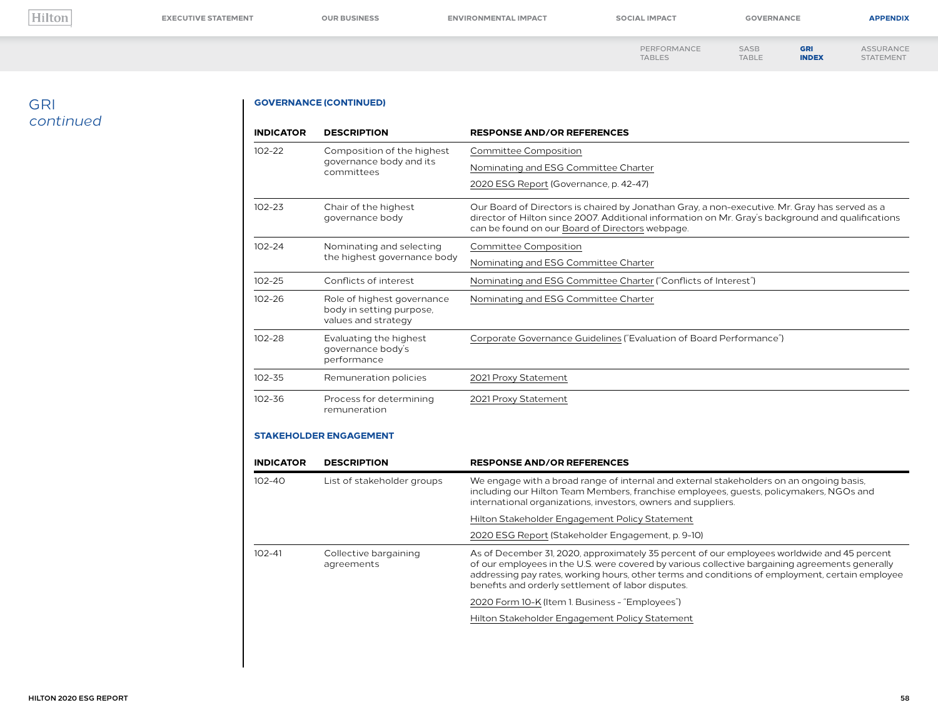**[EXECUTIVE STATEMENT](#page--1-0) [OUR BUSINESS](#page--1-0) [ENVIRONMENTAL IMPACT](#page--1-0) [SOCIAL IMPACT](#page--1-0) [GOVERNANCE](#page--1-0) [APPENDIX](#page--1-0)**

GRI [INDEX](#page-0-0)

[PERFORMANCE](#page--1-0) 

TABLES SASB [TABLE](#page--1-0) [ASSURANCE](#page--1-0) STATEMENT

## GRI *continued*

#### **GOVERNANCE (CONTINUED)**

| <b>INDICATOR</b> | <b>DESCRIPTION</b>                                                                                                                | <b>RESPONSE AND/OR REFERENCES</b>                                                                                                                                                                                                                     |
|------------------|-----------------------------------------------------------------------------------------------------------------------------------|-------------------------------------------------------------------------------------------------------------------------------------------------------------------------------------------------------------------------------------------------------|
| $102 - 22$       | Composition of the highest                                                                                                        | Committee Composition                                                                                                                                                                                                                                 |
|                  | governance body and its<br>committees                                                                                             | Nominating and ESG Committee Charter                                                                                                                                                                                                                  |
|                  |                                                                                                                                   | 2020 ESG Report (Governance, p. 42-47)                                                                                                                                                                                                                |
| $102 - 23$       | Chair of the highest<br>governance body                                                                                           | Our Board of Directors is chaired by Jonathan Gray, a non-executive. Mr. Gray has served as a<br>director of Hilton since 2007. Additional information on Mr. Gray's background and qualifications<br>can be found on our Board of Directors webpage. |
| $102 - 24$       | Nominating and selecting                                                                                                          | <b>Committee Composition</b>                                                                                                                                                                                                                          |
|                  | the highest governance body                                                                                                       | Nominating and ESG Committee Charter                                                                                                                                                                                                                  |
| $102 - 25$       | Conflicts of interest                                                                                                             | Nominating and ESG Committee Charter ("Conflicts of Interest")                                                                                                                                                                                        |
| 102-26           | Nominating and ESG Committee Charter<br>Role of highest governance<br>body in setting purpose,<br>values and strategy             |                                                                                                                                                                                                                                                       |
| $102 - 28$       | Corporate Governance Guidelines ("Evaluation of Board Performance")<br>Evaluating the highest<br>governance body's<br>performance |                                                                                                                                                                                                                                                       |
| $102 - 35$       | Remuneration policies                                                                                                             | 2021 Proxy Statement                                                                                                                                                                                                                                  |
| $102 - 36$       | Process for determining<br>remuneration                                                                                           | 2021 Proxy Statement                                                                                                                                                                                                                                  |

#### **STAKEHOLDER ENGAGEMENT**

| <b>INDICATOR</b>                                  | <b>DESCRIPTION</b>         | <b>RESPONSE AND/OR REFERENCES</b>                                                                                                                                                                                                                                                                                                                       |
|---------------------------------------------------|----------------------------|---------------------------------------------------------------------------------------------------------------------------------------------------------------------------------------------------------------------------------------------------------------------------------------------------------------------------------------------------------|
| $102 - 40$                                        | List of stakeholder groups | We engage with a broad range of internal and external stakeholders on an ongoing basis,<br>including our Hilton Team Members, franchise employees, quests, policymakers, NGOs and<br>international organizations, investors, owners and suppliers.                                                                                                      |
|                                                   |                            | Hilton Stakeholder Engagement Policy Statement                                                                                                                                                                                                                                                                                                          |
|                                                   |                            | 2020 ESG Report (Stakeholder Engagement, p. 9-10)                                                                                                                                                                                                                                                                                                       |
| $102 - 41$<br>Collective bargaining<br>agreements |                            | As of December 31, 2020, approximately 35 percent of our employees worldwide and 45 percent<br>of our employees in the U.S. were covered by various collective bargaining agreements generally<br>addressing pay rates, working hours, other terms and conditions of employment, certain employee<br>benefits and orderly settlement of labor disputes. |
|                                                   |                            | 2020 Form 10-K (Item 1. Business - "Employees")                                                                                                                                                                                                                                                                                                         |
|                                                   |                            | Hilton Stakeholder Engagement Policy Statement                                                                                                                                                                                                                                                                                                          |
|                                                   |                            |                                                                                                                                                                                                                                                                                                                                                         |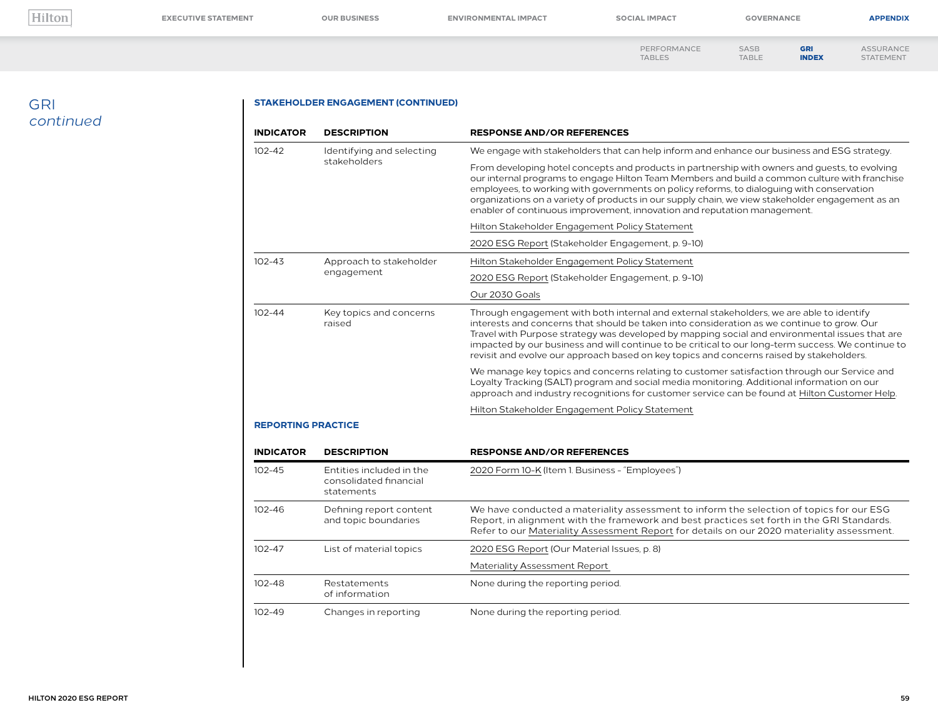**[EXECUTIVE STATEMENT](#page--1-0) [OUR BUSINESS](#page--1-0) [ENVIRONMENTAL IMPACT](#page--1-0) [SOCIAL IMPACT](#page--1-0) [GOVERNANCE](#page--1-0) [APPENDIX](#page--1-0)**

GRI [INDEX](#page-0-0)

[PERFORMANCE](#page--1-0)  TABLES SASB [TABLE](#page--1-0) [ASSURANCE](#page--1-0) STATEMENT

## GRI *continued*

#### **STAKEHOLDER ENGAGEMENT (CONTINUED)**

| <b>INDICATOR</b><br><b>DESCRIPTION</b> |                                                                  | <b>RESPONSE AND/OR REFERENCES</b>                                                                                                                                                                                                                                                                                                                                                                                                                                                          |  |  |
|----------------------------------------|------------------------------------------------------------------|--------------------------------------------------------------------------------------------------------------------------------------------------------------------------------------------------------------------------------------------------------------------------------------------------------------------------------------------------------------------------------------------------------------------------------------------------------------------------------------------|--|--|
| $102 - 42$                             | Identifying and selecting                                        | We engage with stakeholders that can help inform and enhance our business and ESG strategy.                                                                                                                                                                                                                                                                                                                                                                                                |  |  |
|                                        | stakeholders                                                     | From developing hotel concepts and products in partnership with owners and quests, to evolving<br>our internal programs to engage Hilton Team Members and build a common culture with franchise<br>employees, to working with governments on policy reforms, to dialoguing with conservation<br>organizations on a variety of products in our supply chain, we view stakeholder engagement as an<br>enabler of continuous improvement, innovation and reputation management.               |  |  |
|                                        |                                                                  | Hilton Stakeholder Engagement Policy Statement                                                                                                                                                                                                                                                                                                                                                                                                                                             |  |  |
|                                        |                                                                  | 2020 ESG Report (Stakeholder Engagement, p. 9-10)                                                                                                                                                                                                                                                                                                                                                                                                                                          |  |  |
| $102 - 43$                             | Approach to stakeholder                                          | Hilton Stakeholder Engagement Policy Statement                                                                                                                                                                                                                                                                                                                                                                                                                                             |  |  |
|                                        | engagement                                                       | 2020 ESG Report (Stakeholder Engagement, p. 9-10)                                                                                                                                                                                                                                                                                                                                                                                                                                          |  |  |
|                                        |                                                                  | Our 2030 Goals                                                                                                                                                                                                                                                                                                                                                                                                                                                                             |  |  |
| $102 - 44$                             | Key topics and concerns<br>raised                                | Through engagement with both internal and external stakeholders, we are able to identify<br>interests and concerns that should be taken into consideration as we continue to grow. Our<br>Travel with Purpose strategy was developed by mapping social and environmental issues that are<br>impacted by our business and will continue to be critical to our long-term success. We continue to<br>revisit and evolve our approach based on key topics and concerns raised by stakeholders. |  |  |
|                                        |                                                                  | We manage key topics and concerns relating to customer satisfaction through our Service and<br>Loyalty Tracking (SALT) program and social media monitoring. Additional information on our<br>approach and industry recognitions for customer service can be found at Hilton Customer Help.                                                                                                                                                                                                 |  |  |
|                                        |                                                                  | Hilton Stakeholder Engagement Policy Statement                                                                                                                                                                                                                                                                                                                                                                                                                                             |  |  |
| <b>REPORTING PRACTICE</b>              |                                                                  |                                                                                                                                                                                                                                                                                                                                                                                                                                                                                            |  |  |
| <b>INDICATOR</b>                       | <b>DESCRIPTION</b>                                               | <b>RESPONSE AND/OR REFERENCES</b>                                                                                                                                                                                                                                                                                                                                                                                                                                                          |  |  |
| $102 - 45$                             | Entities included in the<br>consolidated financial<br>statements | 2020 Form 10-K (Item 1. Business - "Employees")                                                                                                                                                                                                                                                                                                                                                                                                                                            |  |  |
| $102 - 46$                             | Defining report content<br>and topic boundaries                  | We have conducted a materiality assessment to inform the selection of topics for our ESG<br>Report, in alignment with the framework and best practices set forth in the GRI Standards.<br>Refer to our Materiality Assessment Report for details on our 2020 materiality assessment.                                                                                                                                                                                                       |  |  |
| $102 - 47$                             | List of material topics                                          | 2020 ESG Report (Our Material Issues, p. 8)                                                                                                                                                                                                                                                                                                                                                                                                                                                |  |  |
|                                        |                                                                  | Materiality Assessment Report                                                                                                                                                                                                                                                                                                                                                                                                                                                              |  |  |
| $102 - 48$                             | Restatements<br>of information                                   | None during the reporting period.                                                                                                                                                                                                                                                                                                                                                                                                                                                          |  |  |
| $102 - 49$                             | Changes in reporting                                             | None during the reporting period.                                                                                                                                                                                                                                                                                                                                                                                                                                                          |  |  |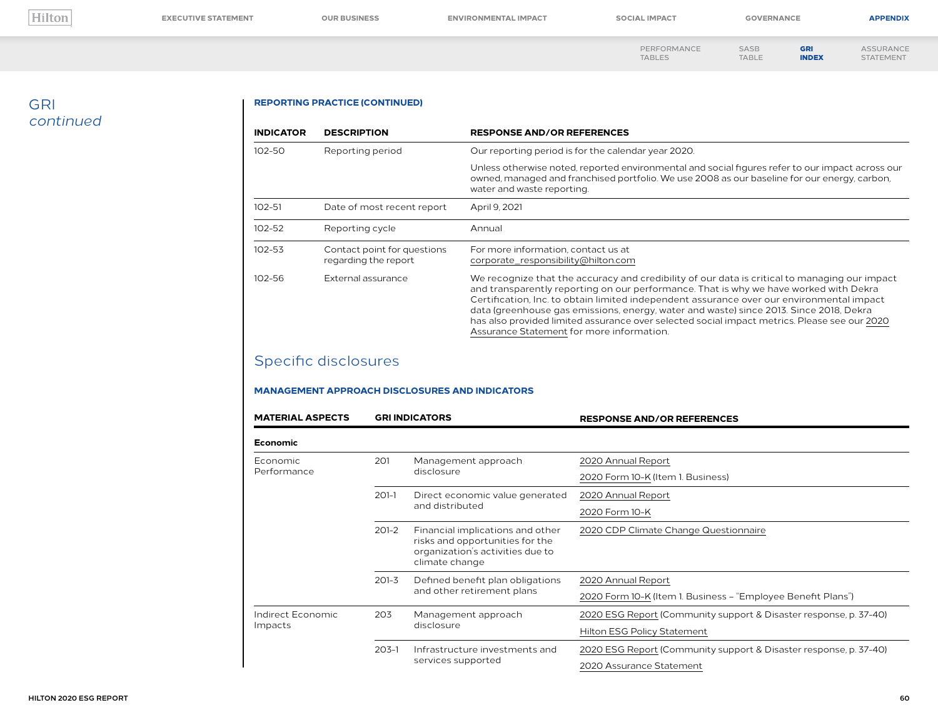**[EXECUTIVE STATEMENT](#page--1-0) [OUR BUSINESS](#page--1-0) [ENVIRONMENTAL IMPACT](#page--1-0) [SOCIAL IMPACT](#page--1-0) [GOVERNANCE](#page--1-0) [APPENDIX](#page--1-0)**

[PERFORMANCE](#page--1-0)  TABLES SASB [TABLE](#page--1-0) GRI [INDEX](#page-0-0) [ASSURANCE](#page--1-0) STATEMENT

## GRI *continued*

#### **REPORTING PRACTICE (CONTINUED)**

| <b>INDICATOR</b> | <b>DESCRIPTION</b>                                                                                                                | <b>RESPONSE AND/OR REFERENCES</b>                                                                                                                                                                                                                                                                                                                                                                                                                                                                                          |
|------------------|-----------------------------------------------------------------------------------------------------------------------------------|----------------------------------------------------------------------------------------------------------------------------------------------------------------------------------------------------------------------------------------------------------------------------------------------------------------------------------------------------------------------------------------------------------------------------------------------------------------------------------------------------------------------------|
| 102-50           | Reporting period                                                                                                                  | Our reporting period is for the calendar year 2020.                                                                                                                                                                                                                                                                                                                                                                                                                                                                        |
|                  |                                                                                                                                   | Unless otherwise noted, reported environmental and social figures refer to our impact across our<br>owned, managed and franchised portfolio. We use 2008 as our baseline for our energy, carbon,<br>water and waste reporting.                                                                                                                                                                                                                                                                                             |
| $102 - 51$       | Date of most recent report                                                                                                        | April 9, 2021                                                                                                                                                                                                                                                                                                                                                                                                                                                                                                              |
| 102-52           | Reporting cycle                                                                                                                   | Annual                                                                                                                                                                                                                                                                                                                                                                                                                                                                                                                     |
| 102-53           | Contact point for questions<br>For more information, contact us at<br>regarding the report<br>corporate responsibility@hilton.com |                                                                                                                                                                                                                                                                                                                                                                                                                                                                                                                            |
| $102 - 56$       | External assurance                                                                                                                | We recognize that the accuracy and credibility of our data is critical to managing our impact<br>and transparently reporting on our performance. That is why we have worked with Dekra<br>Certification, Inc. to obtain limited independent assurance over our environmental impact<br>data (greenhouse gas emissions, energy, water and waste) since 2013. Since 2018, Dekra<br>has also provided limited assurance over selected social impact metrics. Please see our 2020<br>Assurance Statement for more information. |

# Specific disclosures

#### **MANAGEMENT APPROACH DISCLOSURES AND INDICATORS**

| <b>MATERIAL ASPECTS</b> | <b>GRI INDICATORS</b> |                                                                                                                           | <b>RESPONSE AND/OR REFERENCES</b>                                 |  |
|-------------------------|-----------------------|---------------------------------------------------------------------------------------------------------------------------|-------------------------------------------------------------------|--|
| <b>Economic</b>         |                       |                                                                                                                           |                                                                   |  |
| Economic                | 201                   | Management approach                                                                                                       | 2020 Annual Report                                                |  |
| Performance             |                       | disclosure                                                                                                                | 2020 Form 10-K (Item 1. Business)                                 |  |
|                         | $201-1$               | Direct economic value generated<br>and distributed                                                                        | 2020 Annual Report                                                |  |
|                         |                       |                                                                                                                           | 2020 Form 10-K                                                    |  |
|                         | $201 - 2$             | Financial implications and other<br>risks and opportunities for the<br>organization's activities due to<br>climate change | 2020 CDP Climate Change Questionnaire                             |  |
|                         | $201 - 3$             | Defined benefit plan obligations                                                                                          | 2020 Annual Report                                                |  |
|                         |                       | and other retirement plans                                                                                                | 2020 Form 10-K (Item 1. Business - "Employee Benefit Plans")      |  |
| Indirect Economic       | 203                   | Management approach<br>disclosure                                                                                         | 2020 ESG Report (Community support & Disaster response, p. 37-40) |  |
| Impacts                 |                       |                                                                                                                           | Hilton ESG Policy Statement                                       |  |
|                         | $203 - 1$             | Infrastructure investments and                                                                                            | 2020 ESG Report (Community support & Disaster response, p. 37-40) |  |
|                         |                       | services supported                                                                                                        | 2020 Assurance Statement                                          |  |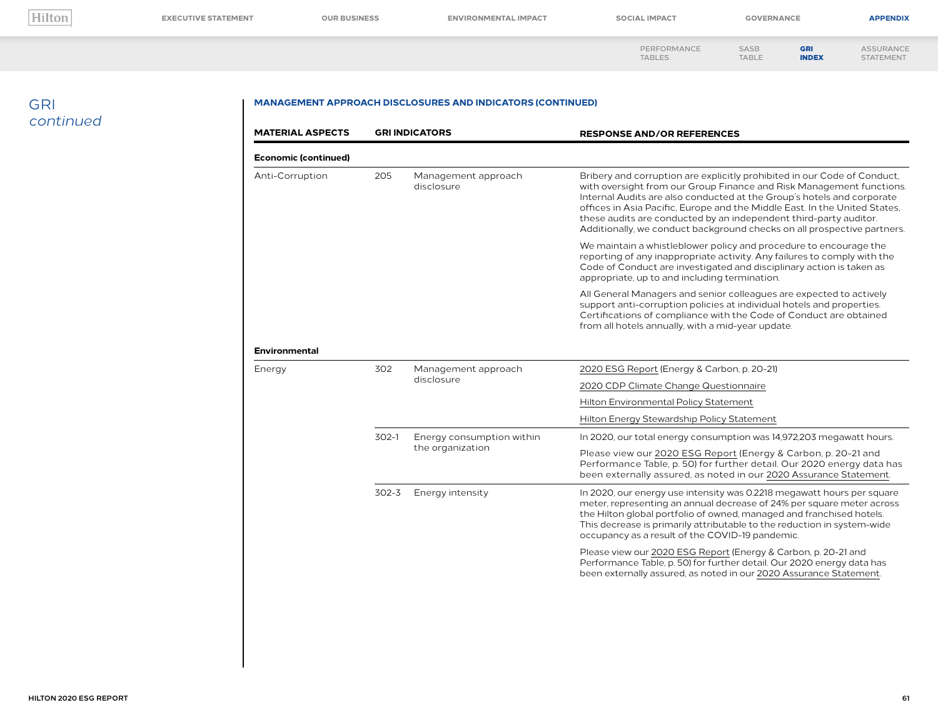[ASSURANCE](#page--1-0) STATEMENT

| PERFORMANCE   | <b>SASB</b>  | <b>GRI</b>   |
|---------------|--------------|--------------|
| <b>TABLES</b> | <b>TABLE</b> | <b>INDEX</b> |

GRI *continued*

| <b>MATERIAL ASPECTS</b>     | <b>GRI INDICATORS</b> |                                               | <b>RESPONSE AND/OR REFERENCES</b>                                                                                                                                                                                                                                                                                                                                                                                                                        |  |
|-----------------------------|-----------------------|-----------------------------------------------|----------------------------------------------------------------------------------------------------------------------------------------------------------------------------------------------------------------------------------------------------------------------------------------------------------------------------------------------------------------------------------------------------------------------------------------------------------|--|
| <b>Economic (continued)</b> |                       |                                               |                                                                                                                                                                                                                                                                                                                                                                                                                                                          |  |
| Anti-Corruption             | 205                   | Management approach<br>disclosure             | Bribery and corruption are explicitly prohibited in our Code of Conduct,<br>with oversight from our Group Finance and Risk Management functions.<br>Internal Audits are also conducted at the Group's hotels and corporate<br>offices in Asia Pacific, Europe and the Middle East. In the United States,<br>these audits are conducted by an independent third-party auditor.<br>Additionally, we conduct background checks on all prospective partners. |  |
|                             |                       |                                               | We maintain a whistleblower policy and procedure to encourage the<br>reporting of any inappropriate activity. Any failures to comply with the<br>Code of Conduct are investigated and disciplinary action is taken as<br>appropriate, up to and including termination.                                                                                                                                                                                   |  |
|                             |                       |                                               | All General Managers and senior colleagues are expected to actively<br>support anti-corruption policies at individual hotels and properties.<br>Certifications of compliance with the Code of Conduct are obtained<br>from all hotels annually, with a mid-year update.                                                                                                                                                                                  |  |
| <b>Environmental</b>        |                       |                                               |                                                                                                                                                                                                                                                                                                                                                                                                                                                          |  |
| Energy                      | 302                   | Management approach<br>disclosure             | 2020 ESG Report (Energy & Carbon, p. 20-21)                                                                                                                                                                                                                                                                                                                                                                                                              |  |
|                             |                       |                                               | 2020 CDP Climate Change Questionnaire                                                                                                                                                                                                                                                                                                                                                                                                                    |  |
|                             |                       |                                               | Hilton Environmental Policy Statement                                                                                                                                                                                                                                                                                                                                                                                                                    |  |
|                             |                       |                                               | Hilton Energy Stewardship Policy Statement                                                                                                                                                                                                                                                                                                                                                                                                               |  |
|                             | $302-1$               | Energy consumption within<br>the organization | In 2020, our total energy consumption was 14,972,203 megawatt hours.                                                                                                                                                                                                                                                                                                                                                                                     |  |
|                             |                       |                                               | Please view our 2020 ESG Report (Energy & Carbon, p. 20-21 and<br>Performance Table, p. 50) for further detail. Our 2020 energy data has<br>been externally assured, as noted in our 2020 Assurance Statement.                                                                                                                                                                                                                                           |  |
|                             | $302 - 3$             | Energy intensity                              | In 2020, our energy use intensity was 0.2218 megawatt hours per square<br>meter, representing an annual decrease of 24% per square meter across<br>the Hilton global portfolio of owned, managed and franchised hotels.<br>This decrease is primarily attributable to the reduction in system-wide<br>occupancy as a result of the COVID-19 pandemic.                                                                                                    |  |
|                             |                       |                                               | Please view our 2020 ESG Report (Energy & Carbon, p. 20-21 and<br>Performance Table, p. 50) for further detail. Our 2020 energy data has<br>been externally assured, as noted in our 2020 Assurance Statement.                                                                                                                                                                                                                                           |  |
|                             |                       |                                               |                                                                                                                                                                                                                                                                                                                                                                                                                                                          |  |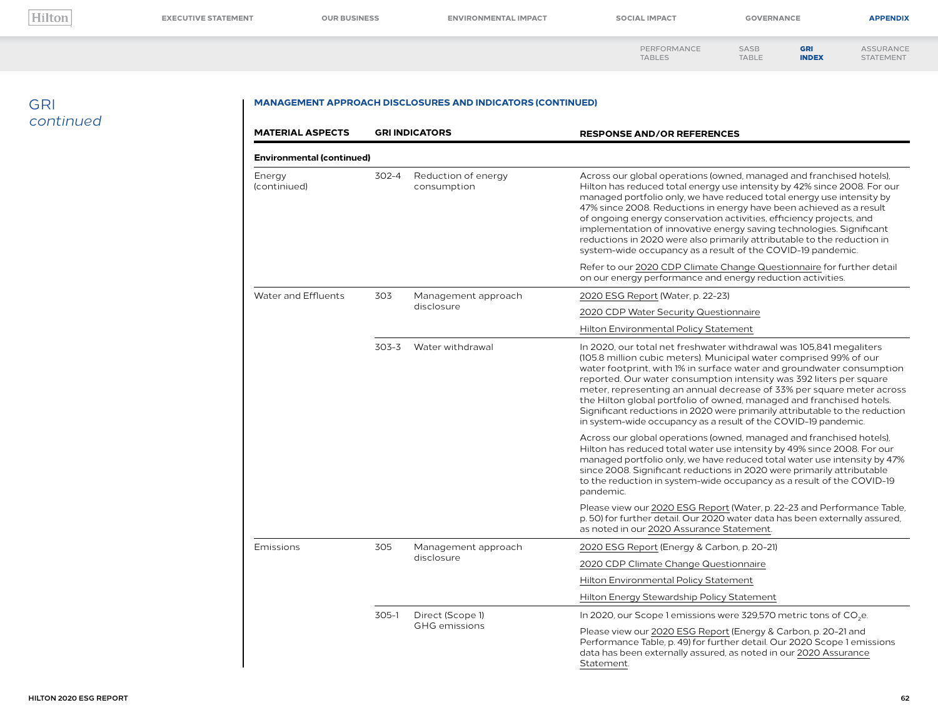**[EXECUTIVE STATEMENT](#page--1-0) [OUR BUSINESS](#page--1-0) [ENVIRONMENTAL IMPACT](#page--1-0) [SOCIAL IMPACT](#page--1-0) [GOVERNANCE](#page--1-0) [APPENDIX](#page--1-0)**

| PERFORMANCE   | SASB         |
|---------------|--------------|
|               |              |
| <b>TABLES</b> | <b>TABLE</b> |

[ASSURANCE](#page--1-0) STATEMENT [INDEX](#page-0-0)

GRI

### GRI *continued*

| <b>MATERIAL ASPECTS</b>          | <b>GRI INDICATORS</b> |                                    | <b>RESPONSE AND/OR REFERENCES</b>                                                                                                                                                                                                                                                                                                                                                                                                                                                                                                                                                           |  |
|----------------------------------|-----------------------|------------------------------------|---------------------------------------------------------------------------------------------------------------------------------------------------------------------------------------------------------------------------------------------------------------------------------------------------------------------------------------------------------------------------------------------------------------------------------------------------------------------------------------------------------------------------------------------------------------------------------------------|--|
| <b>Environmental (continued)</b> |                       |                                    |                                                                                                                                                                                                                                                                                                                                                                                                                                                                                                                                                                                             |  |
| Energy<br>(continiued)           | 302-4                 | Reduction of energy<br>consumption | Across our global operations (owned, managed and franchised hotels),<br>Hilton has reduced total energy use intensity by 42% since 2008. For our<br>managed portfolio only, we have reduced total energy use intensity by<br>47% since 2008. Reductions in energy have been achieved as a result<br>of ongoing energy conservation activities, efficiency projects, and<br>implementation of innovative energy saving technologies. Significant<br>reductions in 2020 were also primarily attributable to the reduction in<br>system-wide occupancy as a result of the COVID-19 pandemic.   |  |
|                                  |                       |                                    | Refer to our 2020 CDP Climate Change Questionnaire for further detail<br>on our energy performance and energy reduction activities.                                                                                                                                                                                                                                                                                                                                                                                                                                                         |  |
| Water and Effluents              | 303                   | Management approach                | 2020 ESG Report (Water, p. 22-23)                                                                                                                                                                                                                                                                                                                                                                                                                                                                                                                                                           |  |
|                                  |                       | disclosure                         | 2020 CDP Water Security Questionnaire                                                                                                                                                                                                                                                                                                                                                                                                                                                                                                                                                       |  |
|                                  |                       |                                    | Hilton Environmental Policy Statement                                                                                                                                                                                                                                                                                                                                                                                                                                                                                                                                                       |  |
|                                  | 303-3                 | Water withdrawal                   | In 2020, our total net freshwater withdrawal was 105,841 megaliters<br>(105.8 million cubic meters). Municipal water comprised 99% of our<br>water footprint, with 1% in surface water and groundwater consumption<br>reported. Our water consumption intensity was 392 liters per square<br>meter, representing an annual decrease of 33% per square meter across<br>the Hilton global portfolio of owned, managed and franchised hotels.<br>Significant reductions in 2020 were primarily attributable to the reduction<br>in system-wide occupancy as a result of the COVID-19 pandemic. |  |
|                                  |                       |                                    | Across our global operations (owned, managed and franchised hotels),<br>Hilton has reduced total water use intensity by 49% since 2008. For our<br>managed portfolio only, we have reduced total water use intensity by 47%<br>since 2008. Significant reductions in 2020 were primarily attributable<br>to the reduction in system-wide occupancy as a result of the COVID-19<br>pandemic.                                                                                                                                                                                                 |  |
|                                  |                       |                                    | Please view our 2020 ESG Report (Water, p. 22-23 and Performance Table,<br>p. 50) for further detail. Our 2020 water data has been externally assured,<br>as noted in our 2020 Assurance Statement.                                                                                                                                                                                                                                                                                                                                                                                         |  |
| Emissions                        | 305                   | Management approach                | 2020 ESG Report (Energy & Carbon, p. 20-21)                                                                                                                                                                                                                                                                                                                                                                                                                                                                                                                                                 |  |
|                                  |                       | disclosure                         | 2020 CDP Climate Change Questionnaire                                                                                                                                                                                                                                                                                                                                                                                                                                                                                                                                                       |  |
|                                  |                       |                                    | Hilton Environmental Policy Statement                                                                                                                                                                                                                                                                                                                                                                                                                                                                                                                                                       |  |
|                                  |                       |                                    | Hilton Energy Stewardship Policy Statement                                                                                                                                                                                                                                                                                                                                                                                                                                                                                                                                                  |  |
|                                  | $305-1$               | Direct (Scope 1)                   | In 2020, our Scope 1 emissions were 329,570 metric tons of CO <sub>2</sub> e.                                                                                                                                                                                                                                                                                                                                                                                                                                                                                                               |  |
|                                  |                       | <b>GHG</b> emissions               | Please view our 2020 ESG Report (Energy & Carbon, p. 20-21 and<br>Performance Table, p. 49) for further detail. Our 2020 Scope 1 emissions<br>data has been externally assured, as noted in our 2020 Assurance<br>Statement.                                                                                                                                                                                                                                                                                                                                                                |  |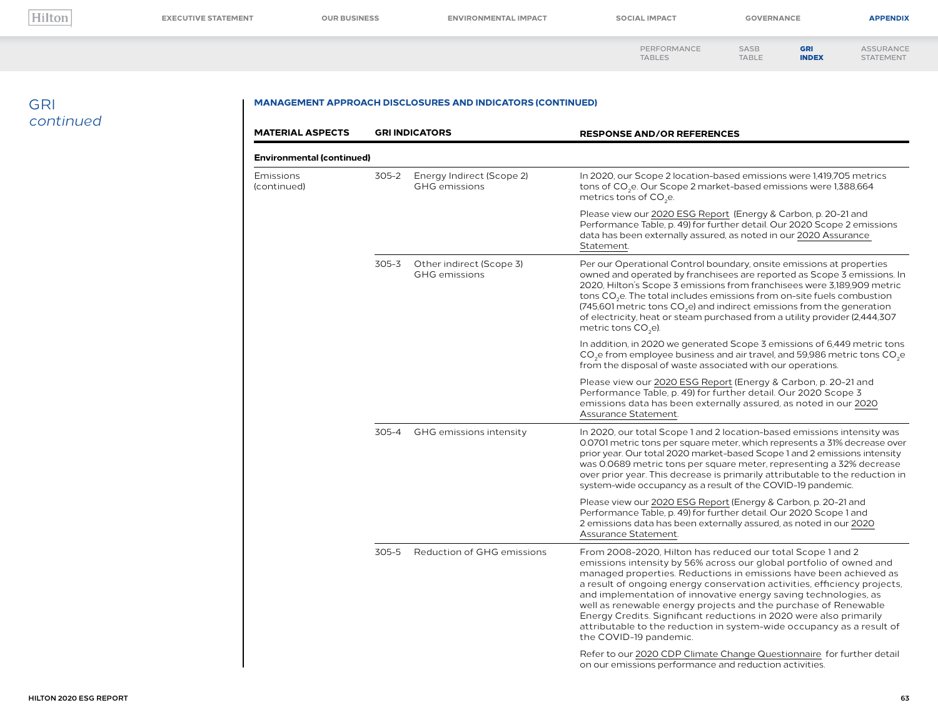| PERFORMANCE   | <b>SASB</b>  |
|---------------|--------------|
| <b>TABLES</b> | <b>TABLE</b> |

[ASSURANCE](#page--1-0) STATEMENT

GRI [INDEX](#page-0-0)

## GRI *continued*

| <b>MATERIAL ASPECTS</b>  |                                  | <b>GRI INDICATORS</b>                             | <b>RESPONSE AND/OR REFERENCES</b>                                                                                                                                                                                                                                                                                                                                                                                                                                                                                                                                                                 |  |  |
|--------------------------|----------------------------------|---------------------------------------------------|---------------------------------------------------------------------------------------------------------------------------------------------------------------------------------------------------------------------------------------------------------------------------------------------------------------------------------------------------------------------------------------------------------------------------------------------------------------------------------------------------------------------------------------------------------------------------------------------------|--|--|
|                          | <b>Environmental (continued)</b> |                                                   |                                                                                                                                                                                                                                                                                                                                                                                                                                                                                                                                                                                                   |  |  |
| Emissions<br>(continued) | 305-2                            | Energy Indirect (Scope 2)<br><b>GHG</b> emissions | In 2020, our Scope 2 location-based emissions were 1,419,705 metrics<br>tons of CO <sub>2</sub> e. Our Scope 2 market-based emissions were 1,388,664<br>metrics tons of CO <sub>3</sub> e.                                                                                                                                                                                                                                                                                                                                                                                                        |  |  |
|                          |                                  |                                                   | Please view our 2020 ESG Report (Energy & Carbon, p. 20-21 and<br>Performance Table, p. 49) for further detail. Our 2020 Scope 2 emissions<br>data has been externally assured, as noted in our 2020 Assurance<br>Statement.                                                                                                                                                                                                                                                                                                                                                                      |  |  |
|                          | 305-3                            | Other indirect (Scope 3)<br><b>GHG</b> emissions  | Per our Operational Control boundary, onsite emissions at properties<br>owned and operated by franchisees are reported as Scope 3 emissions. In<br>2020, Hilton's Scope 3 emissions from franchisees were 3,189,909 metric<br>tons CO <sub>2</sub> e. The total includes emissions from on-site fuels combustion<br>(745,601 metric tons $CO2e$ ) and indirect emissions from the generation<br>of electricity, heat or steam purchased from a utility provider (2,444,307)<br>metric tons CO <sub>2</sub> e).                                                                                    |  |  |
|                          |                                  |                                                   | In addition, in 2020 we generated Scope 3 emissions of 6,449 metric tons<br>$CO2e$ from employee business and air travel, and 59,986 metric tons $CO2e$<br>from the disposal of waste associated with our operations.                                                                                                                                                                                                                                                                                                                                                                             |  |  |
|                          |                                  |                                                   | Please view our 2020 ESG Report (Energy & Carbon, p. 20-21 and<br>Performance Table, p. 49) for further detail. Our 2020 Scope 3<br>emissions data has been externally assured, as noted in our 2020<br>Assurance Statement.                                                                                                                                                                                                                                                                                                                                                                      |  |  |
|                          | 305-4                            | GHG emissions intensity                           | In 2020, our total Scope 1 and 2 location-based emissions intensity was<br>0.0701 metric tons per square meter, which represents a 31% decrease over<br>prior year. Our total 2020 market-based Scope 1 and 2 emissions intensity<br>was 0.0689 metric tons per square meter, representing a 32% decrease<br>over prior year. This decrease is primarily attributable to the reduction in<br>system-wide occupancy as a result of the COVID-19 pandemic.                                                                                                                                          |  |  |
|                          |                                  |                                                   | Please view our 2020 ESG Report (Energy & Carbon, p. 20-21 and<br>Performance Table, p. 49) for further detail. Our 2020 Scope 1 and<br>2 emissions data has been externally assured, as noted in our 2020<br>Assurance Statement.                                                                                                                                                                                                                                                                                                                                                                |  |  |
|                          | 305-5                            | Reduction of GHG emissions                        | From 2008-2020, Hilton has reduced our total Scope 1 and 2<br>emissions intensity by 56% across our global portfolio of owned and<br>managed properties. Reductions in emissions have been achieved as<br>a result of ongoing energy conservation activities, efficiency projects,<br>and implementation of innovative energy saving technologies, as<br>well as renewable energy projects and the purchase of Renewable<br>Energy Credits. Significant reductions in 2020 were also primarily<br>attributable to the reduction in system-wide occupancy as a result of<br>the COVID-19 pandemic. |  |  |
|                          |                                  |                                                   | Refer to our 2020 CDP Climate Change Questionnaire for further detail<br>on our emissions performance and reduction activities.                                                                                                                                                                                                                                                                                                                                                                                                                                                                   |  |  |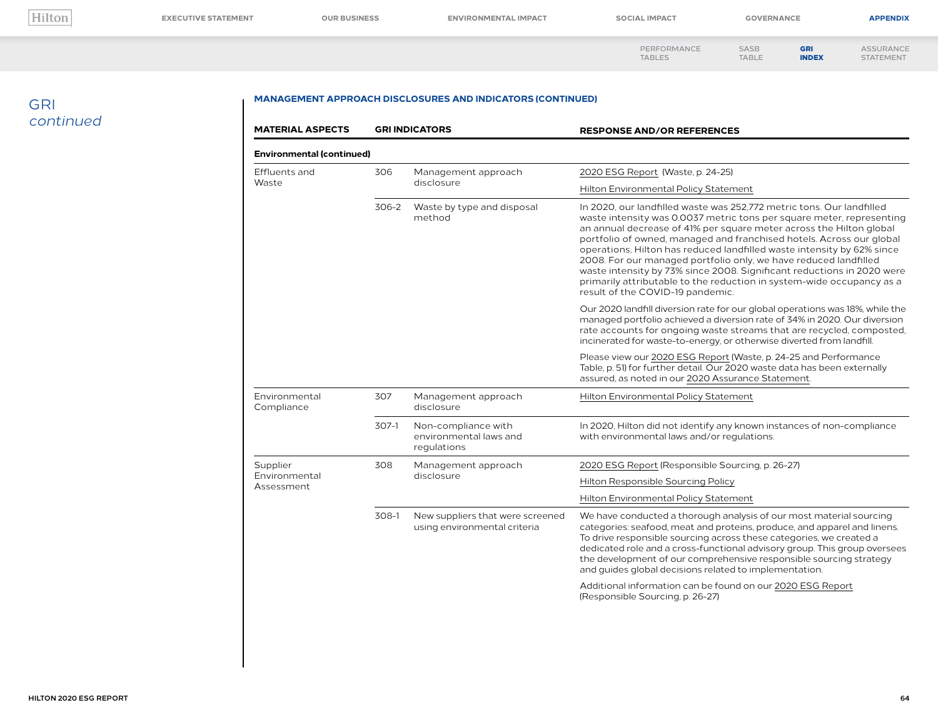STATEMENT

[PERFORMANCE](#page--1-0)  TABLES SASB [TABLE](#page--1-0) [ASSURANCE](#page--1-0)

GRI [INDEX](#page-0-0)

### GRI *continued*

| <b>Environmental (continued)</b> |                                                                  |                                                                                                                                                                                                                                                                                                                                                                                                                                                                                                                                                                                                                                    |
|----------------------------------|------------------------------------------------------------------|------------------------------------------------------------------------------------------------------------------------------------------------------------------------------------------------------------------------------------------------------------------------------------------------------------------------------------------------------------------------------------------------------------------------------------------------------------------------------------------------------------------------------------------------------------------------------------------------------------------------------------|
|                                  |                                                                  |                                                                                                                                                                                                                                                                                                                                                                                                                                                                                                                                                                                                                                    |
| 306                              | Management approach<br>disclosure                                | 2020 ESG Report (Waste, p. 24-25)                                                                                                                                                                                                                                                                                                                                                                                                                                                                                                                                                                                                  |
|                                  |                                                                  | Hilton Environmental Policy Statement                                                                                                                                                                                                                                                                                                                                                                                                                                                                                                                                                                                              |
| 306-2                            | Waste by type and disposal<br>method                             | In 2020, our landfilled waste was 252,772 metric tons. Our landfilled<br>waste intensity was 0.0037 metric tons per square meter, representing<br>an annual decrease of 41% per square meter across the Hilton global<br>portfolio of owned, managed and franchised hotels. Across our global<br>operations, Hilton has reduced landfilled waste intensity by 62% since<br>2008. For our managed portfolio only, we have reduced landfilled<br>waste intensity by 73% since 2008. Significant reductions in 2020 were<br>primarily attributable to the reduction in system-wide occupancy as a<br>result of the COVID-19 pandemic. |
|                                  |                                                                  | Our 2020 landfill diversion rate for our global operations was 18%, while the<br>managed portfolio achieved a diversion rate of 34% in 2020. Our diversion<br>rate accounts for ongoing waste streams that are recycled, composted,<br>incinerated for waste-to-energy, or otherwise diverted from landfill.                                                                                                                                                                                                                                                                                                                       |
|                                  |                                                                  | Please view our 2020 ESG Report (Waste, p. 24-25 and Performance<br>Table, p. 51) for further detail. Our 2020 waste data has been externally<br>assured, as noted in our 2020 Assurance Statement.                                                                                                                                                                                                                                                                                                                                                                                                                                |
| 307                              | Management approach<br>disclosure                                | Hilton Environmental Policy Statement                                                                                                                                                                                                                                                                                                                                                                                                                                                                                                                                                                                              |
| $307-1$                          | Non-compliance with<br>environmental laws and<br>regulations     | In 2020, Hilton did not identify any known instances of non-compliance<br>with environmental laws and/or regulations.                                                                                                                                                                                                                                                                                                                                                                                                                                                                                                              |
| 308                              | Management approach<br>disclosure                                | 2020 ESG Report (Responsible Sourcing, p. 26-27)                                                                                                                                                                                                                                                                                                                                                                                                                                                                                                                                                                                   |
|                                  |                                                                  | Hilton Responsible Sourcing Policy                                                                                                                                                                                                                                                                                                                                                                                                                                                                                                                                                                                                 |
|                                  |                                                                  | Hilton Environmental Policy Statement                                                                                                                                                                                                                                                                                                                                                                                                                                                                                                                                                                                              |
| 308-1                            | New suppliers that were screened<br>using environmental criteria | We have conducted a thorough analysis of our most material sourcing<br>categories: seafood, meat and proteins, produce, and apparel and linens.<br>To drive responsible sourcing across these categories, we created a<br>dedicated role and a cross-functional advisory group. This group oversees<br>the development of our comprehensive responsible sourcing strategy<br>and guides global decisions related to implementation.                                                                                                                                                                                                |
|                                  |                                                                  | Additional information can be found on our 2020 ESG Report<br>(Responsible Sourcing, p. 26-27)                                                                                                                                                                                                                                                                                                                                                                                                                                                                                                                                     |
|                                  |                                                                  |                                                                                                                                                                                                                                                                                                                                                                                                                                                                                                                                                                                                                                    |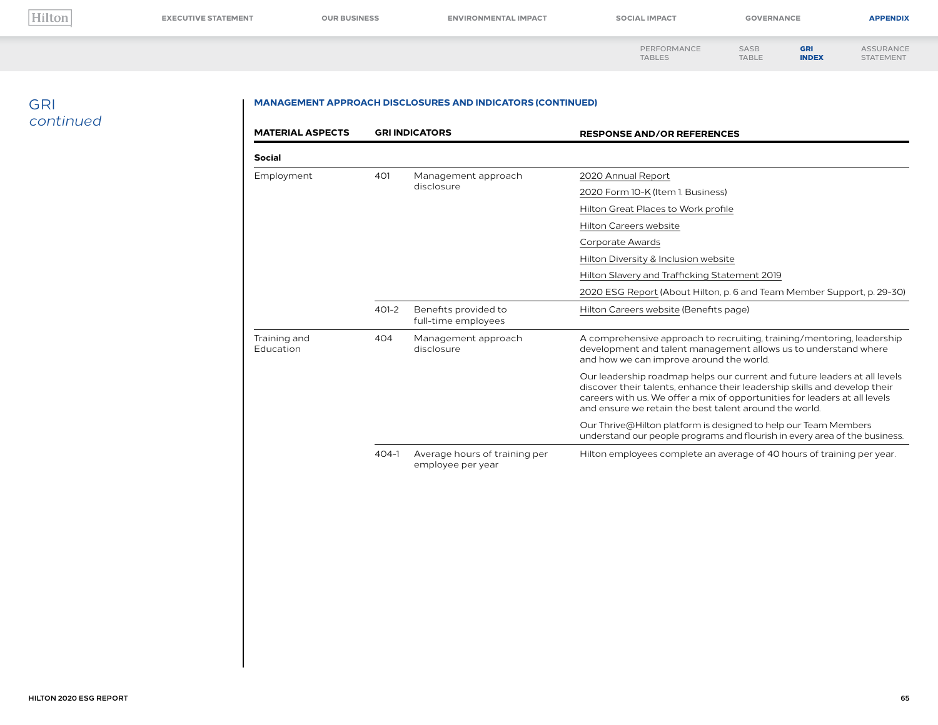STATEMENT

[PERFORMANCE](#page--1-0)  TABLES SASB [TABLE](#page--1-0) [ASSURANCE](#page--1-0)

GRI [INDEX](#page-0-0)

### GRI *continued*

| <b>MATERIAL ASPECTS</b>   |           | <b>GRI INDICATORS</b>                              | <b>RESPONSE AND/OR REFERENCES</b>                                                                                                                                                                                                                                                              |
|---------------------------|-----------|----------------------------------------------------|------------------------------------------------------------------------------------------------------------------------------------------------------------------------------------------------------------------------------------------------------------------------------------------------|
| <b>Social</b>             |           |                                                    |                                                                                                                                                                                                                                                                                                |
| Employment                | 401       | Management approach<br>disclosure                  | 2020 Annual Report                                                                                                                                                                                                                                                                             |
|                           |           |                                                    | 2020 Form 10-K (Item 1. Business)                                                                                                                                                                                                                                                              |
|                           |           |                                                    | Hilton Great Places to Work profile                                                                                                                                                                                                                                                            |
|                           |           |                                                    | <b>Hilton Careers website</b>                                                                                                                                                                                                                                                                  |
|                           |           |                                                    | Corporate Awards                                                                                                                                                                                                                                                                               |
|                           |           |                                                    | Hilton Diversity & Inclusion website                                                                                                                                                                                                                                                           |
|                           |           |                                                    | Hilton Slavery and Trafficking Statement 2019                                                                                                                                                                                                                                                  |
|                           |           |                                                    | 2020 ESG Report (About Hilton, p. 6 and Team Member Support, p. 29-30)                                                                                                                                                                                                                         |
|                           | $401 - 2$ | Benefits provided to<br>full-time employees        | Hilton Careers website (Benefits page)                                                                                                                                                                                                                                                         |
| Training and<br>Education | 404       | Management approach<br>disclosure                  | A comprehensive approach to recruiting, training/mentoring, leadership<br>development and talent management allows us to understand where<br>and how we can improve around the world.                                                                                                          |
|                           |           |                                                    | Our leadership roadmap helps our current and future leaders at all levels<br>discover their talents, enhance their leadership skills and develop their<br>careers with us. We offer a mix of opportunities for leaders at all levels<br>and ensure we retain the best talent around the world. |
|                           |           |                                                    | Our Thrive@Hilton platform is designed to help our Team Members<br>understand our people programs and flourish in every area of the business.                                                                                                                                                  |
|                           | $404-1$   | Average hours of training per<br>employee per year | Hilton employees complete an average of 40 hours of training per year.                                                                                                                                                                                                                         |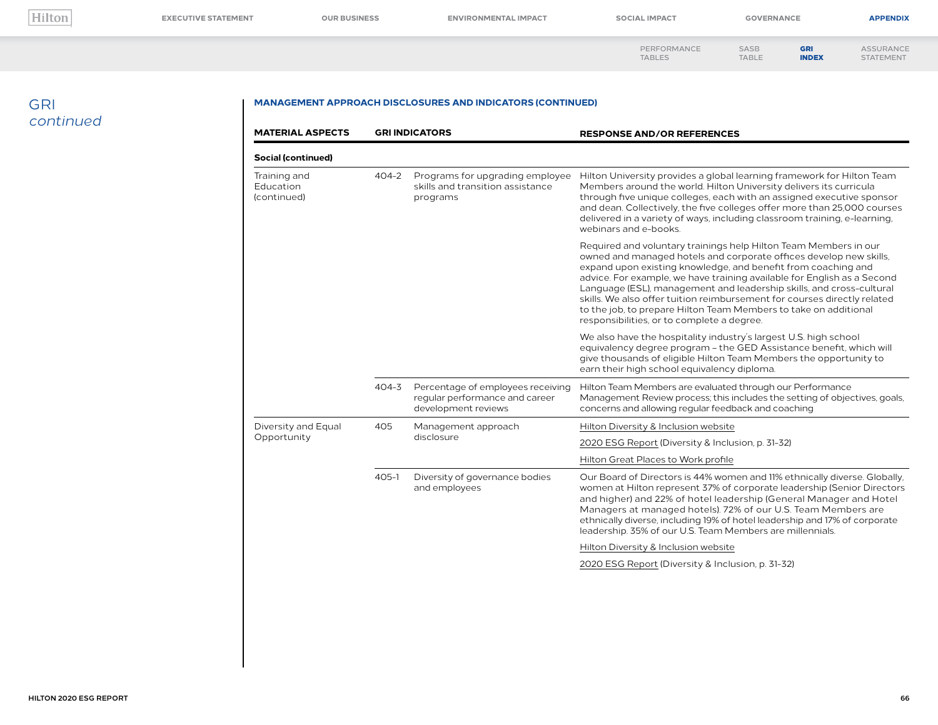**[EXECUTIVE STATEMENT](#page--1-0) [OUR BUSINESS](#page--1-0) [ENVIRONMENTAL IMPACT](#page--1-0) [SOCIAL IMPACT](#page--1-0) [GOVERNANCE](#page--1-0) [APPENDIX](#page--1-0)**

STATEMENT

[PERFORMANCE](#page--1-0)  TABLES SASB [TABLE](#page--1-0)

[ASSURANCE](#page--1-0) GRI

[INDEX](#page-0-0)

### GRI *continued*

| <b>MATERIAL ASPECTS</b>                  |           | <b>GRI INDICATORS</b>                                                                      | <b>RESPONSE AND/OR REFERENCES</b>                                                                                                                                                                                                                                                                                                                                                                                                                                                                                                                        |
|------------------------------------------|-----------|--------------------------------------------------------------------------------------------|----------------------------------------------------------------------------------------------------------------------------------------------------------------------------------------------------------------------------------------------------------------------------------------------------------------------------------------------------------------------------------------------------------------------------------------------------------------------------------------------------------------------------------------------------------|
| Social (continued)                       |           |                                                                                            |                                                                                                                                                                                                                                                                                                                                                                                                                                                                                                                                                          |
| Training and<br>Education<br>(continued) | $404 - 2$ | Programs for upgrading employee<br>skills and transition assistance<br>programs            | Hilton University provides a global learning framework for Hilton Team<br>Members around the world. Hilton University delivers its curricula<br>through five unique colleges, each with an assigned executive sponsor<br>and dean. Collectively, the five colleges offer more than 25,000 courses<br>delivered in a variety of ways, including classroom training, e-learning,<br>webinars and e-books.                                                                                                                                                  |
|                                          |           |                                                                                            | Required and voluntary trainings help Hilton Team Members in our<br>owned and managed hotels and corporate offices develop new skills.<br>expand upon existing knowledge, and benefit from coaching and<br>advice. For example, we have training available for English as a Second<br>Language (ESL), management and leadership skills, and cross-cultural<br>skills. We also offer tuition reimbursement for courses directly related<br>to the job, to prepare Hilton Team Members to take on additional<br>responsibilities, or to complete a degree. |
|                                          |           |                                                                                            | We also have the hospitality industry's largest U.S. high school<br>equivalency degree program - the GED Assistance benefit, which will<br>give thousands of eligible Hilton Team Members the opportunity to<br>earn their high school equivalency diploma.                                                                                                                                                                                                                                                                                              |
|                                          | $404 - 3$ | Percentage of employees receiving<br>regular performance and career<br>development reviews | Hilton Team Members are evaluated through our Performance<br>Management Review process; this includes the setting of objectives, goals,<br>concerns and allowing regular feedback and coaching                                                                                                                                                                                                                                                                                                                                                           |
| Diversity and Equal                      | 405       | Management approach<br>disclosure                                                          | Hilton Diversity & Inclusion website                                                                                                                                                                                                                                                                                                                                                                                                                                                                                                                     |
| Opportunity                              |           |                                                                                            | 2020 ESG Report (Diversity & Inclusion, p. 31-32)                                                                                                                                                                                                                                                                                                                                                                                                                                                                                                        |
|                                          |           |                                                                                            | Hilton Great Places to Work profile                                                                                                                                                                                                                                                                                                                                                                                                                                                                                                                      |
|                                          | $405 - 1$ | Diversity of governance bodies<br>and employees                                            | Our Board of Directors is 44% women and 11% ethnically diverse. Globally,<br>women at Hilton represent 37% of corporate leadership (Senior Directors<br>and higher) and 22% of hotel leadership (General Manager and Hotel<br>Managers at managed hotels). 72% of our U.S. Team Members are<br>ethnically diverse, including 19% of hotel leadership and 17% of corporate<br>leadership. 35% of our U.S. Team Members are millennials.                                                                                                                   |
|                                          |           |                                                                                            | Hilton Diversity & Inclusion website                                                                                                                                                                                                                                                                                                                                                                                                                                                                                                                     |
|                                          |           |                                                                                            | 2020 ESG Report (Diversity & Inclusion, p. 31-32)                                                                                                                                                                                                                                                                                                                                                                                                                                                                                                        |